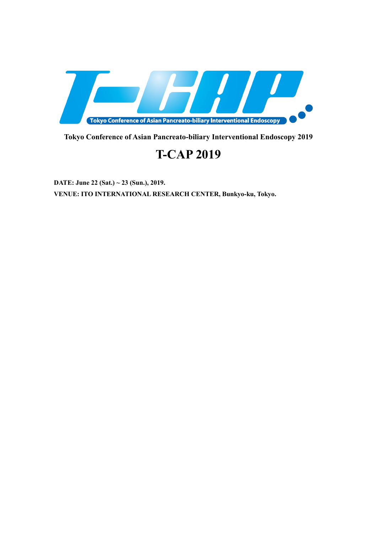

**Tokyo Conference of Asian Pancreato-biliary Interventional Endoscopy 2019**

# **T-CAP 2019**

**DATE: June 22 (Sat.) ~ 23 (Sun.), 2019. VENUE: ITO INTERNATIONAL RESEARCH CENTER, Bunkyo-ku, Tokyo.**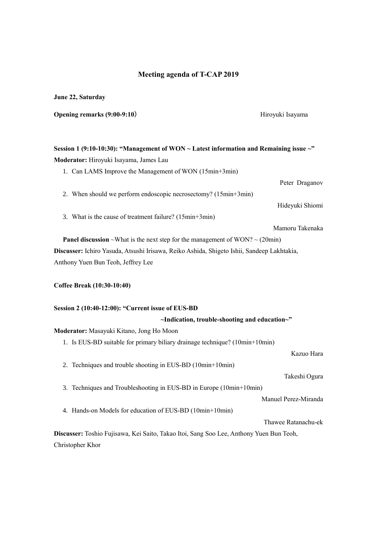### **Meeting agenda of T-CAP 2019**

**June 22, Saturday**

**Opening remarks (9:00-9:10) Hiroyuki Isayama** Hiroyuki Isayama

### **Session 1 (9:10-10:30): "Management of WON ~ Latest information and Remaining issue ~" Moderator:** Hiroyuki Isayama, James Lau

1. Can LAMS Improve the Management of WON (15min+3min)

Peter Draganov 2. When should we perform endoscopic necrosectomy? (15min+3min) Hideyuki Shiomi 3. What is the cause of treatment failure? (15min+3min) Mamoru Takenaka

**Panel discussion** ~What is the next step for the management of WON? ~  $(20\text{min})$ **Discusser:** Ichiro Yasuda, Atsushi Irisawa, Reiko Ashida, Shigeto Ishii, Sandeep Lakhtakia, Anthony Yuen Bun Teoh, Jeffrey Lee

#### **Coffee Break (10:30-10:40)**

#### **Session 2 (10:40-12:00): "Current issue of EUS-BD**

#### **~Indication, trouble-shooting and education~"**

#### **Moderator:** Masayuki Kitano, Jong Ho Moon

1. Is EUS-BD suitable for primary biliary drainage technique? (10min+10min)

Kazuo Hara

2. Techniques and trouble shooting in EUS-BD (10min+10min)

Takeshi Ogura

3. Techniques and Troubleshooting in EUS-BD in Europe (10min+10min)

Manuel Perez-Miranda

4. Hands-on Models for education of EUS-BD (10min+10min)

Thawee Ratanachu-ek

**Discusser:** Toshio Fujisawa, Kei Saito, Takao Itoi, Sang Soo Lee, Anthony Yuen Bun Teoh, Christopher Khor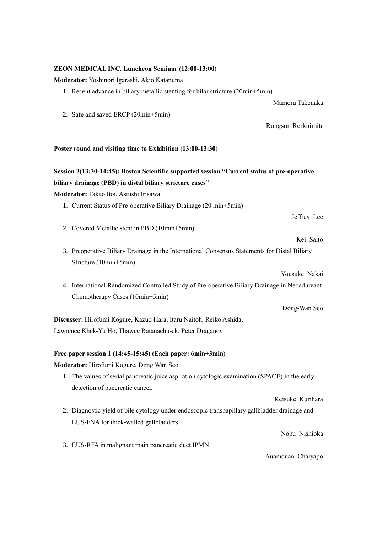## **Moderator:** Yoshinori Igarashi, Akio Katanuma 1. Recent advance in biliary metallic stenting for hilar stricture (20min+5min) Mamoru Takenaka 2. Safe and saved ERCP (20min+5min) Rungsun Rerknimitr **Poster round and visiting time to Exhibition (13:00-13:30) Session 3(13:30-14:45): Boston Scientific supported session "Current status of pre-operative biliary drainage (PBD) in distal biliary stricture cases" Moderator:** Takao Itoi, Astushi Irisawa 1. Current Status of Pre-operative Biliary Drainage (20 min+5min) Jeffrey Lee 2. Covered Metallic stent in PBD (10min+5min) Kei Saito 3. Preoperative Biliary Drainage in the International Consensus Statements for Distal Biliary Stricture (10min+5min) Yousuke Nakai 4. International Randomized Controlled Study of Pre-operative Biliary Drainage in Neoadjuvant Chemotherapy Cases (10min+5min) Dong-Wan Seo **Discusser:** Hirofumi Kogure, Kazuo Hara, Itaru Naitoh, Reiko Ashida, Lawrence Khek-Yu Ho, Thawee Ratanachu-ek, Peter Draganov **Free paper session 1 (14:45-15:45) (Each paper: 6min+3min) Moderator:** Hirofumi Kogure, Dong Wan Seo 1. The values of serial pancreatic juice aspiration cytologic examination (SPACE) in the early detection of pancreatic cancer. Keisuke Kurihara 2. Diagnostic yield of bile cytology under endoscopic transpapillary gallbladder drainage and EUS-FNA for thick-walled gallbladders Nobu Nishioka 3. EUS-RFA in malignant main pancreatic duct IPMN

**ZEON MEDICAL INC. Luncheon Seminar (12:00-13:00)**

Auamduan Chaiyapo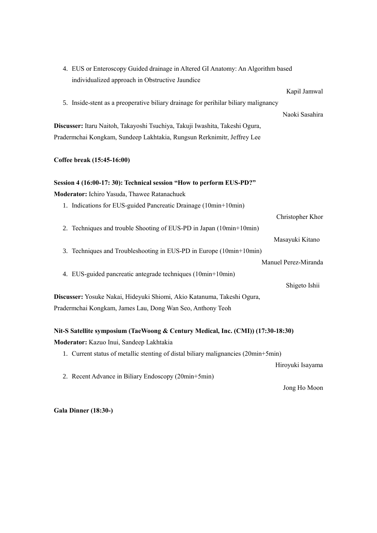| 4. EUS or Enteroscopy Guided drainage in Altered GI Anatomy: An Algorithm based     |  |  |  |
|-------------------------------------------------------------------------------------|--|--|--|
| individualized approach in Obstructive Jaundice                                     |  |  |  |
| Kapil Jamwal                                                                        |  |  |  |
| 5. Inside-stent as a preoperative biliary drainage for perihilar biliary malignancy |  |  |  |
| Naoki Sasahira                                                                      |  |  |  |
| Discusser: Itaru Naitoh, Takayoshi Tsuchiya, Takuji Iwashita, Takeshi Ogura,        |  |  |  |
| Pradermchai Kongkam, Sundeep Lakhtakia, Rungsun Rerknimitr, Jeffrey Lee             |  |  |  |
|                                                                                     |  |  |  |
| Coffee break (15:45-16:00)                                                          |  |  |  |
|                                                                                     |  |  |  |
| Session 4 (16:00-17: 30): Technical session "How to perform EUS-PD?"                |  |  |  |
| Moderator: Ichiro Yasuda, Thawee Ratanachuek                                        |  |  |  |
| 1. Indications for EUS-guided Pancreatic Drainage (10min+10min)                     |  |  |  |
| Christopher Khor                                                                    |  |  |  |
| 2. Techniques and trouble Shooting of EUS-PD in Japan (10min+10min)                 |  |  |  |
| Masayuki Kitano                                                                     |  |  |  |
| 3. Techniques and Troubleshooting in EUS-PD in Europe (10min+10min)                 |  |  |  |
| Manuel Perez-Miranda                                                                |  |  |  |
| 4. EUS-guided pancreatic antegrade techniques (10min+10min)                         |  |  |  |
| Shigeto Ishii                                                                       |  |  |  |
| Discusser: Yosuke Nakai, Hideyuki Shiomi, Akio Katanuma, Takeshi Ogura,             |  |  |  |
| Pradermchai Kongkam, James Lau, Dong Wan Seo, Anthony Teoh                          |  |  |  |
|                                                                                     |  |  |  |
| Nit-S Satellite symposium (TaeWoong & Century Medical, Inc. (CMI)) (17:30-18:30)    |  |  |  |
| Moderator: Kazuo Inui, Sandeep Lakhtakia                                            |  |  |  |
| 1. Current status of metallic stenting of distal biliary malignancies (20min+5min)  |  |  |  |

Hiroyuki Isayama

2. Recent Advance in Biliary Endoscopy (20min+5min)

Jong Ho Moon

**Gala Dinner (18:30-)**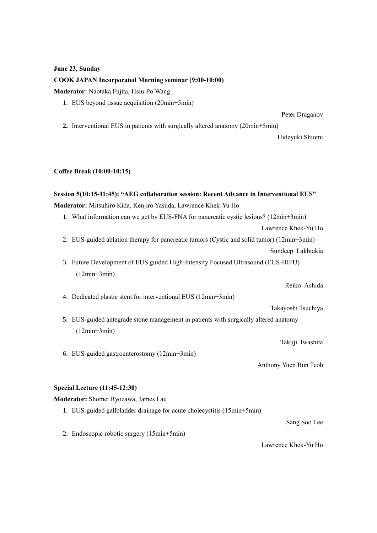#### **June 23, Sunday**

#### **COOK JAPAN Incorporated Morning seminar (9:00-10:00)**

**Moderator:** Naotaka Fujita, Hsiu-Po Wang

1. EUS beyond tissue acquisition (20min+5min)

Peter Draganov

**2.** Interventional EUS in patients with surgically altered anatomy (20min+5min)

Hideyuki Shiomi

#### **Coffee Break (10:00-10:15)**

### **Session 5(10:15-11:45): "AEG collaboration session: Recent Advance in Interventional EUS"**

**Moderator:** Mitsuhiro Kida, Kenjiro Yasuda, Lawrence Khek-Yu Ho

1. What information can we get by EUS-FNA for pancreatic cystic lesions? (12min+3min)

Lawrence Khek-Yu Ho

- 2. EUS-guided ablation therapy for pancreatic tumors (Cystic and solid tumor) (12min+3min) Sundeep Lakhtakia
- 3. Future Development of EUS guided High-Intensity Focused Ultrasound (EUS-HIFU) (12min+3min)

Reiko Ashida

4. Dedicated plastic stent for interventional EUS (12min+3min)

Takayoshi Tsuchiya

5. EUS-guided antegrade stone management in patients with surgically altered anatomy (12min+3min)

Takuji Iwashita

Anthony Yuen Bun Teoh

#### **Special Lecture (11:45-12:30)**

**Moderator:** Shomei Ryozawa, James Lau

1. EUS-guided gallbladder drainage for acute cholecystitis (15min+5min)

Sang Soo Lee

2. Endoscopic robotic surgery (15min+5min)

6. EUS-guided gastroenterostomy (12min+3min)

Lawrence Khek-Yu Ho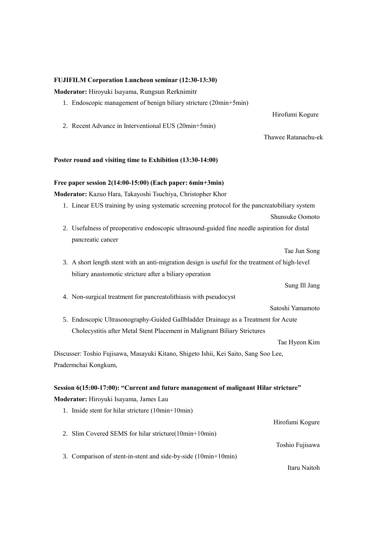#### **FUJIFILM Corporation Luncheon seminar (12:30-13:30)**

**Moderator:** Hiroyuki Isayama, Rungsun Rerknimitr

1. Endoscopic management of benign biliary stricture (20min+5min)

Hirofumi Kogure

2. Recent Advance in Interventional EUS (20min+5min)

#### Thawee Ratanachu-ek

#### **Poster round and visiting time to Exhibition (13:30-14:00)**

#### **Free paper session 2(14:00-15:00) (Each paper: 6min+3min)**

**Moderator:** Kazuo Hara, Takayoshi Tsuchiya, Christopher Khor

1. Linear EUS training by using systematic screening protocol for the pancreatobiliary system

Shunsuke Oomoto

2. Usefulness of preoperative endoscopic ultrasound-guided fine needle aspiration for distal pancreatic cancer

Tae Jun Song

3. A short length stent with an anti-migration design is useful for the treatment of high-level biliary anastomotic stricture after a biliary operation

Sung Ill Jang

4. Non-surgical treatment for pancreatolithiasis with pseudocyst

Satoshi Yamamoto

5. Endoscopic Ultrasonography-Guided Gallbladder Drainage as a Treatment for Acute Cholecystitis after Metal Stent Placement in Malignant Biliary Strictures

Tae Hyeon Kim

Discusser: Toshio Fujisawa, Masayuki Kitano, Shigeto Ishii, Kei Saito, Sang Soo Lee, Pradermchai Kongkum,

#### **Session 6(15:00-17:00): "Current and future management of malignant Hilar stricture"**

**Moderator:** Hiroyuki Isayama, James Lau

1. Inside stent for hilar stricture (10min+10min) Hirofumi Kogure 2. Slim Covered SEMS for hilar stricture(10min+10min) Toshio Fujisawa 3. Comparison of stent-in-stent and side-by-side (10min+10min)

Itaru Naitoh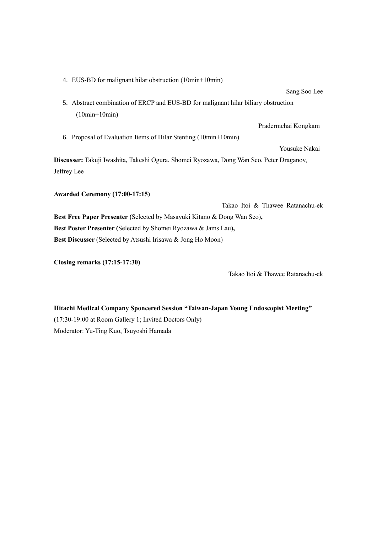4. EUS-BD for malignant hilar obstruction (10min+10min)

Sang Soo Lee

5. Abstract combination of ERCP and EUS-BD for malignant hilar biliary obstruction (10min+10min)

Pradermchai Kongkam

6. Proposal of Evaluation Items of Hilar Stenting (10min+10min)

Yousuke Nakai

**Discusser:** Takuji Iwashita, Takeshi Ogura, Shomei Ryozawa, Dong Wan Seo, Peter Draganov, Jeffrey Lee

**Awarded Ceremony (17:00-17:15)**

Takao Itoi & Thawee Ratanachu-ek **Best Free Paper Presenter (**Selected by Masayuki Kitano & Dong Wan Seo)**, Best Poster Presenter (**Selected by Shomei Ryozawa & Jams Lau**), Best Discusser** (Selected by Atsushi Irisawa & Jong Ho Moon)

**Closing remarks (17:15-17:30)**

Takao Itoi & Thawee Ratanachu-ek

**Hitachi Medical Company Sponcered Session "Taiwan-Japan Young Endoscopist Meeting"** (17:30-19:00 at Room Gallery 1; Invited Doctors Only) Moderator: Yu-Ting Kuo, Tsuyoshi Hamada